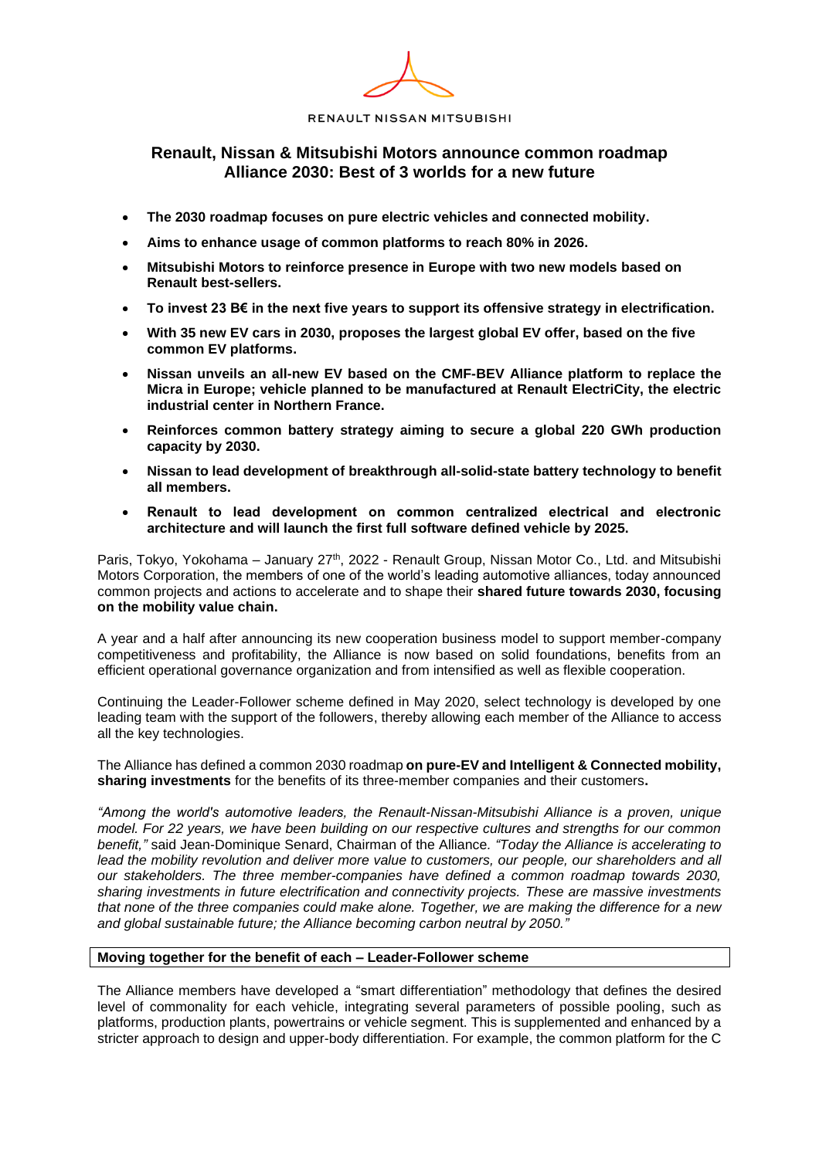# **Renault, Nissan & Mitsubishi Motors announce common roadmap Alliance 2030: Best of 3 worlds for a new future**

- **The 2030 roadmap focuses on pure electric vehicles and connected mobility.**
- **Aims to enhance usage of common platforms to reach 80% in 2026.**
- **Mitsubishi Motors to reinforce presence in Europe with two new models based on Renault best-sellers.**
- **To invest 23 B€ in the next five years to support its offensive strategy in electrification.**
- **With 35 new EV cars in 2030, proposes the largest global EV offer, based on the five common EV platforms.**
- **Nissan unveils an all-new EV based on the CMF-BEV Alliance platform to replace the Micra in Europe; vehicle planned to be manufactured at Renault ElectriCity, the electric industrial center in Northern France.**
- **Reinforces common battery strategy aiming to secure a global 220 GWh production capacity by 2030.**
- **Nissan to lead development of breakthrough all-solid-state battery technology to benefit all members.**
- **Renault to lead development on common centralized electrical and electronic architecture and will launch the first full software defined vehicle by 2025.**

Paris, Tokyo, Yokohama – January 27<sup>th</sup>, 2022 - Renault Group, Nissan Motor Co., Ltd. and Mitsubishi Motors Corporation, the members of one of the world's leading automotive alliances, today announced common projects and actions to accelerate and to shape their **shared future towards 2030, focusing on the mobility value chain.**

A year and a half after announcing its new cooperation business model to support member-company competitiveness and profitability, the Alliance is now based on solid foundations, benefits from an efficient operational governance organization and from intensified as well as flexible cooperation.

Continuing the Leader-Follower scheme defined in May 2020, select technology is developed by one leading team with the support of the followers, thereby allowing each member of the Alliance to access all the key technologies.

The Alliance has defined a common 2030 roadmap **on pure-EV and Intelligent & Connected mobility, sharing investments** for the benefits of its three-member companies and their customers**.**

*"Among the world's automotive leaders, the Renault-Nissan-Mitsubishi Alliance is a proven, unique model. For 22 years, we have been building on our respective cultures and strengths for our common benefit,"* said Jean-Dominique Senard, Chairman of the Alliance*. "Today the Alliance is accelerating to*  lead the mobility revolution and deliver more value to customers, our people, our shareholders and all *our stakeholders. The three member-companies have defined a common roadmap towards 2030, sharing investments in future electrification and connectivity projects. These are massive investments that none of the three companies could make alone. Together, we are making the difference for a new and global sustainable future; the Alliance becoming carbon neutral by 2050."*

# **Moving together for the benefit of each – Leader-Follower scheme**

The Alliance members have developed a "smart differentiation" methodology that defines the desired level of commonality for each vehicle, integrating several parameters of possible pooling, such as platforms, production plants, powertrains or vehicle segment. This is supplemented and enhanced by a stricter approach to design and upper-body differentiation. For example, the common platform for the C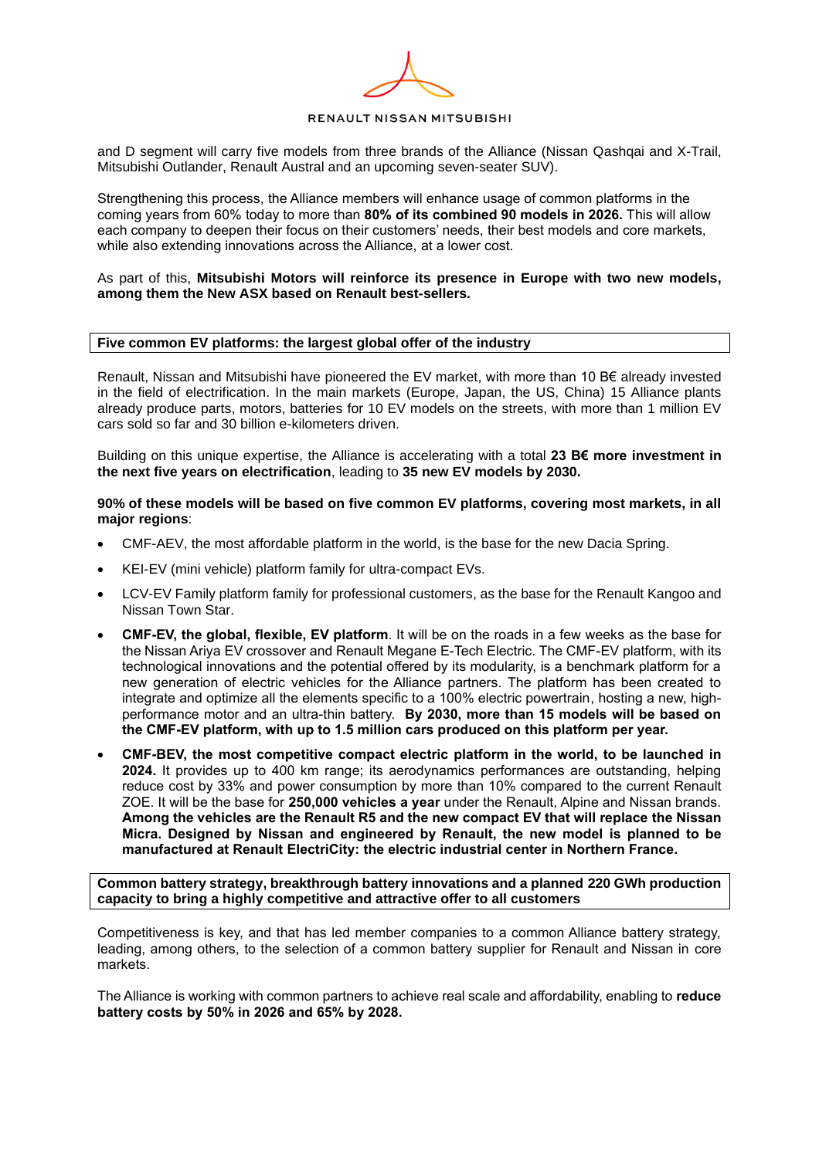and D segment will carry five models from three brands of the Alliance (Nissan Qashqai and X-Trail, Mitsubishi Outlander, Renault Austral and an upcoming seven-seater SUV).

Strengthening this process, the Alliance members will enhance usage of common platforms in the coming years from 60% today to more than **80% of its combined 90 models in 2026.** This will allow each company to deepen their focus on their customers' needs, their best models and core markets, while also extending innovations across the Alliance, at a lower cost.

#### As part of this, **Mitsubishi Motors will reinforce its presence in Europe with two new models, among them the New ASX based on Renault best-sellers.**

#### **Five common EV platforms: the largest global offer of the industry**

Renault, Nissan and Mitsubishi have pioneered the EV market, with more than 10 B€ already invested in the field of electrification. In the main markets (Europe, Japan, the US, China) 15 Alliance plants already produce parts, motors, batteries for 10 EV models on the streets, with more than 1 million EV cars sold so far and 30 billion e-kilometers driven.

Building on this unique expertise, the Alliance is accelerating with a total **23 B€ more investment in the next five years on electrification**, leading to **35 new EV models by 2030.**

**90% of these models will be based on five common EV platforms, covering most markets, in all major regions**:

- CMF-AEV, the most affordable platform in the world, is the base for the new Dacia Spring.
- KEI-EV (mini vehicle) platform family for ultra-compact EVs.
- LCV-EV Family platform family for professional customers, as the base for the Renault Kangoo and Nissan Town Star.
- **CMF-EV, the global, flexible, EV platform**. It will be on the roads in a few weeks as the base for the Nissan Ariya EV crossover and Renault Megane E-Tech Electric. The CMF-EV platform, with its technological innovations and the potential offered by its modularity, is a benchmark platform for a new generation of electric vehicles for the Alliance partners. The platform has been created to integrate and optimize all the elements specific to a 100% electric powertrain, hosting a new, highperformance motor and an ultra-thin battery. **By 2030, more than 15 models will be based on the CMF-EV platform, with up to 1.5 million cars produced on this platform per year.**
- **CMF-BEV, the most competitive compact electric platform in the world, to be launched in 2024.** It provides up to 400 km range; its aerodynamics performances are outstanding, helping reduce cost by 33% and power consumption by more than 10% compared to the current Renault ZOE. It will be the base for **250,000 vehicles a year** under the Renault, Alpine and Nissan brands. **Among the vehicles are the Renault R5 and the new compact EV that will replace the Nissan Micra. Designed by Nissan and engineered by Renault, the new model is planned to be manufactured at Renault ElectriCity: the electric industrial center in Northern France.**

**Common battery strategy, breakthrough battery innovations and a planned 220 GWh production capacity to bring a highly competitive and attractive offer to all customers** 

Competitiveness is key, and that has led member companies to a common Alliance battery strategy, leading, among others, to the selection of a common battery supplier for Renault and Nissan in core markets.

The Alliance is working with common partners to achieve real scale and affordability, enabling to **reduce battery costs by 50% in 2026 and 65% by 2028.**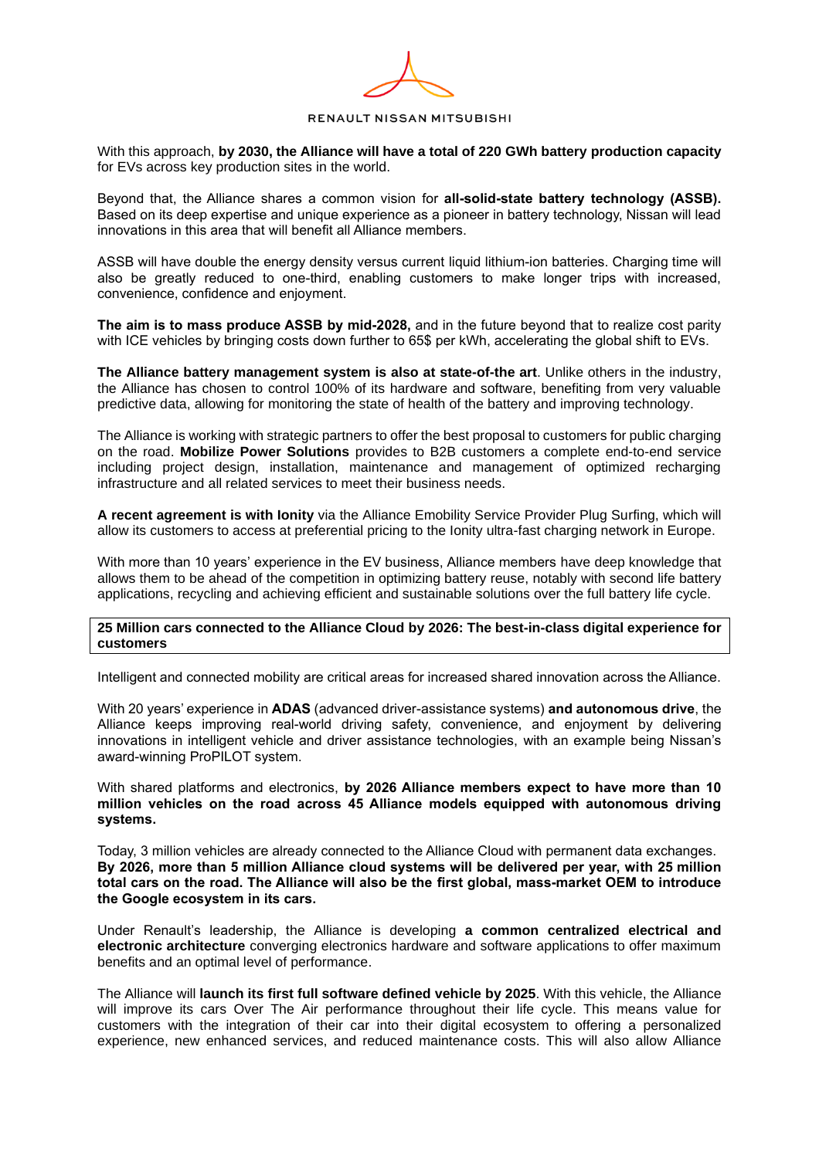With this approach, **by 2030, the Alliance will have a total of 220 GWh battery production capacity** for EVs across key production sites in the world.

Beyond that, the Alliance shares a common vision for **all-solid-state battery technology (ASSB).** Based on its deep expertise and unique experience as a pioneer in battery technology, Nissan will lead innovations in this area that will benefit all Alliance members.

ASSB will have double the energy density versus current liquid lithium-ion batteries. Charging time will also be greatly reduced to one-third, enabling customers to make longer trips with increased, convenience, confidence and enjoyment.

**The aim is to mass produce ASSB by mid-2028,** and in the future beyond that to realize cost parity with ICE vehicles by bringing costs down further to 65\$ per kWh, accelerating the global shift to EVs.

**The Alliance battery management system is also at state-of-the art**. Unlike others in the industry, the Alliance has chosen to control 100% of its hardware and software, benefiting from very valuable predictive data, allowing for monitoring the state of health of the battery and improving technology.

The Alliance is working with strategic partners to offer the best proposal to customers for public charging on the road. **Mobilize Power Solutions** provides to B2B customers a complete end-to-end service including project design, installation, maintenance and management of optimized recharging infrastructure and all related services to meet their business needs.

**A recent agreement is with Ionity** via the Alliance Emobility Service Provider Plug Surfing, which will allow its customers to access at preferential pricing to the Ionity ultra-fast charging network in Europe.

With more than 10 years' experience in the EV business, Alliance members have deep knowledge that allows them to be ahead of the competition in optimizing battery reuse, notably with second life battery applications, recycling and achieving efficient and sustainable solutions over the full battery life cycle.

## **25 Million cars connected to the Alliance Cloud by 2026: The best-in-class digital experience for customers**

Intelligent and connected mobility are critical areas for increased shared innovation across the Alliance.

With 20 years' experience in **ADAS** (advanced driver-assistance systems) **and autonomous drive**, the Alliance keeps improving real-world driving safety, convenience, and enjoyment by delivering innovations in intelligent vehicle and driver assistance technologies, with an example being Nissan's award-winning ProPILOT system.

With shared platforms and electronics, **by 2026 Alliance members expect to have more than 10 million vehicles on the road across 45 Alliance models equipped with autonomous driving systems.**

Today, 3 million vehicles are already connected to the Alliance Cloud with permanent data exchanges. **By 2026, more than 5 million Alliance cloud systems will be delivered per year, with 25 million total cars on the road. The Alliance will also be the first global, mass-market OEM to introduce the Google ecosystem in its cars.**

Under Renault's leadership, the Alliance is developing **a common centralized electrical and electronic architecture** converging electronics hardware and software applications to offer maximum benefits and an optimal level of performance.

The Alliance will **launch its first full software defined vehicle by 2025**. With this vehicle, the Alliance will improve its cars Over The Air performance throughout their life cycle. This means value for customers with the integration of their car into their digital ecosystem to offering a personalized experience, new enhanced services, and reduced maintenance costs. This will also allow Alliance